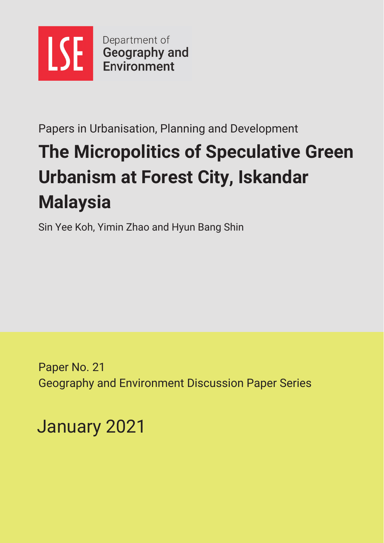

Papers in Urbanisation, Planning and Development

# **The Micropolitics of Speculative Green Urbanism at Forest City, Iskandar Malaysia**

Sin Yee Koh, Yimin Zhao and Hyun Bang Shin

Paper No. 21 Geography and Environment Discussion Paper Series

January 2021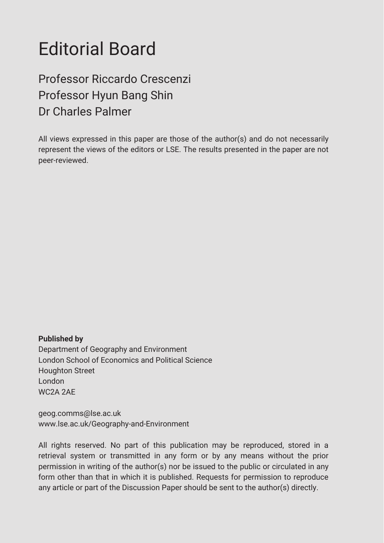# Editorial Board

## Professor Riccardo Crescenzi Professor Hyun Bang Shin Dr Charles Palmer

All views expressed in this paper are those of the author(s) and do not necessarily represent the views of the editors or LSE. The results presented in the paper are not peer-reviewed.

**Published by** Department of Geography and Environment London School of Economics and Political Science Houghton Street London WC2A 2AE

geog.comms@lse.ac.uk www.lse.ac.uk/Geography-and-Environment

All rights reserved. No part of this publication may be reproduced, stored in a retrieval system or transmitted in any form or by any means without the prior permission in writing of the author(s) nor be issued to the public or circulated in any form other than that in which it is published. Requests for permission to reproduce any article or part of the Discussion Paper should be sent to the author(s) directly.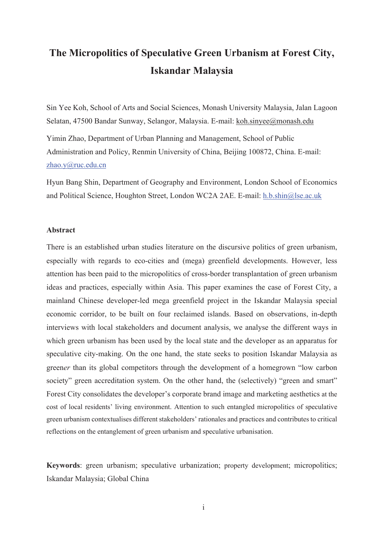## The Micropolitics of Speculative Green Urbanism at Forest City, **Iskandar Malaysia**

Sin Yee Koh, School of Arts and Social Sciences, Monash University Malaysia, Jalan Lagoon Selatan, 47500 Bandar Sunway, Selangor, Malaysia. E-mail: koh.sinyee@monash.edu

Yimin Zhao, Department of Urban Planning and Management, School of Public Administration and Policy, Renmin University of China, Beijing 100872, China. E-mail: zhao.y@ruc.edu.cn

Hyun Bang Shin, Department of Geography and Environment, London School of Economics and Political Science, Houghton Street, London WC2A 2AE. E-mail: h.b.shin@lse.ac.uk

### Abstract

There is an established urban studies literature on the discursive politics of green urbanism, especially with regards to eco-cities and (mega) greenfield developments. However, less attention has been paid to the micropolitics of cross-border transplantation of green urbanism ideas and practices, especially within Asia. This paper examines the case of Forest City, a mainland Chinese developer-led mega greenfield project in the Iskandar Malaysia special economic corridor, to be built on four reclaimed islands. Based on observations, in-depth interviews with local stakeholders and document analysis, we analyse the different ways in which green urbanism has been used by the local state and the developer as an apparatus for speculative city-making. On the one hand, the state seeks to position Iskandar Malaysia as greener than its global competitors through the development of a homegrown "low carbon" society" green accreditation system. On the other hand, the (selectively) "green and smart" Forest City consolidates the developer's corporate brand image and marketing aesthetics at the cost of local residents' living environment. Attention to such entangled micropolitics of speculative green urbanism contextualises different stakeholders' rationales and practices and contributes to critical reflections on the entanglement of green urbanism and speculative urbanisation.

**Keywords**: green urbanism; speculative urbanization; property development; micropolitics; Iskandar Malaysia; Global China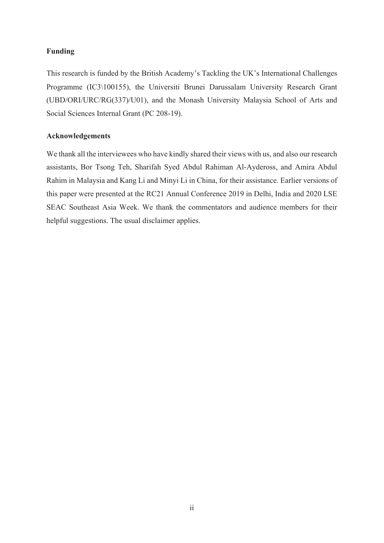## $\mathbf{Funding}$

This research is funded by the British Academy's Tackling the UK's International Challenges Programme (IC3\100155), the Universiti Brunei Darussalam University Research Grant (UBD/ORI/URC/RG(337)/U01), and the Monash University Malaysia School of Arts and Social Sciences Internal Grant (PC 208-19).

## ${\bf Acknowledgements}$

We thank all the interviewees who have kindly shared their views with us, and also our research assistants, Bor Tsong Teh, Sharifah Syed Abdul Rahiman Al-Aydeross, and Amira Abdul Rahim in Malaysia and Kang Li and Minyi Li in China, for their assistance. Earlier versions of this paper were presented at the RC21 Annual Conference 2019 in Delhi, India and 2020 LSE SEAC Southeast Asia Week. We thank the commentators and audience members for their helpful suggestions. The usual disclaimer applies.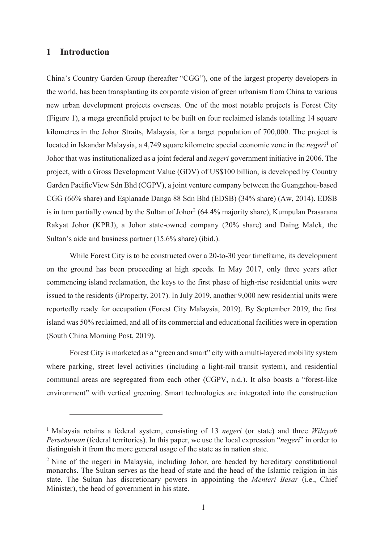#### **-Introduction**

China's Country Garden Group (hereafter "CGG"), one of the largest property developers in the world, has been transplanting its corporate vision of green urbanism from China to various new urban development projects overseas. One of the most notable projects is Forest City (Figure 1), a mega greenfield project to be built on four reclaimed islands totalling 14 square kilometres in the Johor Straits, Malaysia, for a target population of  $700,000$ . The project is located in Iskandar Malaysia, a 4,749 square kilometre special economic zone in the *negeri*<sup>1</sup> of Johor that was institutionalized as a joint federal and *negeri* government initiative in 2006. The project, with a Gross Development Value (GDV) of US\$100 billion, is developed by Country Garden Pacific View Sdn Bhd (CGPV), a joint venture company between the Guangzhou-based  $CGG (66\% share)$  and Esplanade Danga 88 Sdn Bhd (EDSB) (34% share) (Aw, 2014). EDSB is in turn partially owned by the Sultan of Johor<sup>2</sup> (64.4% majority share), Kumpulan Prasarana Rakyat Johor (KPRJ), a Johor state-owned company (20% share) and Daing Malek, the Sultan's aide and business partner  $(15.6\% \text{ share})$  (ibid.).

While Forest City is to be constructed over a 20-to-30 year timeframe, its development on the ground has been proceeding at high speeds. In May 2017, only three years after commencing island reclamation, the keys to the first phase of high-rise residential units were issued to the residents (iProperty, 2017). In July 2019, another  $9,000$  new residential units were reportedly ready for occupation (Forest City Malaysia, 2019). By September 2019, the first island was 50% reclaimed, and all of its commercial and educational facilities were in operation (South China Morning Post, 2019).

Forest City is marketed as a "green and smart" city with a multi-layered mobility system where parking, street level activities (including a light-rail transit system), and residential communal areas are segregated from each other (CGPV, n.d.). It also boasts a "forest-like environment" with vertical greening. Smart technologies are integrated into the construction

<sup>&</sup>lt;sup>1</sup> Malaysia retains a federal system, consisting of 13 negeri (or state) and three Wilayah *Persekutuan* (federal territories). In this paper, we use the local expression "*negeri*" in order to distinguish it from the more general usage of the state as in nation state.

 $^2$  Nine of the negeri in Malaysia, including Johor, are headed by hereditary constitutional monarchs. The Sultan serves as the head of state and the head of the Islamic religion in his state. The Sultan has discretionary powers in appointing the *Menteri Besar* (i.e., Chief Minister), the head of government in his state.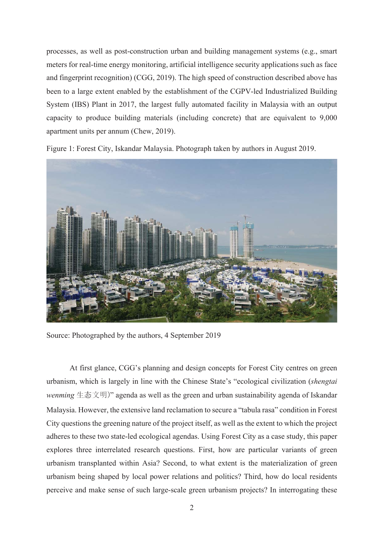processes, as well as post-construction urban and building management systems (e.g., smart meters for real-time energy monitoring, artificial intelligence security applications such as face and fingerprint recognition) (CGG, 2019). The high speed of construction described above has been to a large extent enabled by the establishment of the CGPV-led Industrialized Building System (IBS) Plant in 2017, the largest fully automated facility in Malaysia with an output capacity to produce building materials (including concrete) that are equivalent to 9,000 apartment units per annum (Chew, 2019).

Figure 1: Forest City, Iskandar Malaysia. Photograph taken by authors in August 2019.



Source: Photographed by the authors, 4 September 2019

At first glance, CGG's planning and design concepts for Forest City centres on green urbanism, which is largely in line with the Chinese State's "ecological civilization (shengtai wenming 生态文明)" agenda as well as the green and urban sustainability agenda of Iskandar Malaysia. However, the extensive land reclamation to secure a "tabula rasa" condition in Forest City questions the greening nature of the project itself, as well as the extent to which the project adheres to these two state-led ecological agendas. Using Forest City as a case study, this paper explores three interrelated research questions. First, how are particular variants of green urbanism transplanted within Asia? Second, to what extent is the materialization of green urbanism being shaped by local power relations and politics? Third, how do local residents perceive and make sense of such large-scale green urbanism projects? In interrogating these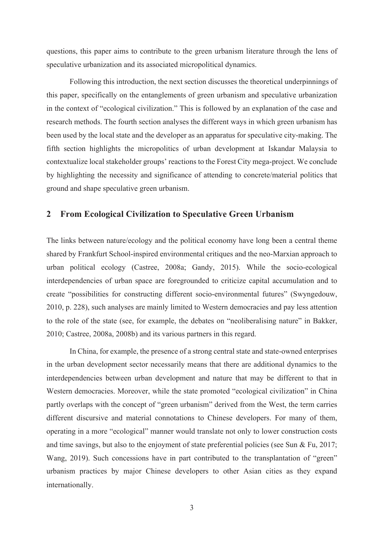questions, this paper aims to contribute to the green urbanism literature through the lens of speculative urbanization and its associated micropolitical dynamics.

Following this introduction, the next section discusses the theoretical underpinnings of this paper, specifically on the entanglements of green urbanism and speculative urbanization in the context of "ecological civilization." This is followed by an explanation of the case and research methods. The fourth section analyses the different ways in which green urbanism has been used by the local state and the developer as an apparatus for speculative city-making. The fifth section highlights the micropolitics of urban development at Iskandar Malaysia to contextualize local stakeholder groups' reactions to the Forest City mega-project. We conclude by highlighting the necessity and significance of attending to concrete/material politics that ground and shape speculative green urbanism.

## 2 From Ecological Civilization to Speculative Green Urbanism

The links between nature/ecology and the political economy have long been a central theme shared by Frankfurt School-inspired environmental critiques and the neo-Marxian approach to urban political ecology (Castree, 2008a; Gandy, 2015). While the socio-ecological interdependencies of urban space are foregrounded to criticize capital accumulation and to create "possibilities for constructing different socio-environmental futures" (Swyngedouw, 2010, p. 228), such analyses are mainly limited to Western democracies and pay less attention to the role of the state (see, for example, the debates on "neoliberalising nature" in Bakker,  $2010$ ; Castree,  $2008a$ ,  $2008b$ ) and its various partners in this regard.

In China, for example, the presence of a strong central state and state-owned enterprises in the urban development sector necessarily means that there are additional dynamics to the interdependencies between urban development and nature that may be different to that in Western democracies. Moreover, while the state promoted "ecological civilization" in China partly overlaps with the concept of "green urbanism" derived from the West, the term carries different discursive and material connotations to Chinese developers. For many of them, operating in a more "ecological" manner would translate not only to lower construction costs and time savings, but also to the enjoyment of state preferential policies (see Sun & Fu, 2017; Wang, 2019). Such concessions have in part contributed to the transplantation of "green" urbanism practices by major Chinese developers to other Asian cities as they expand internationally.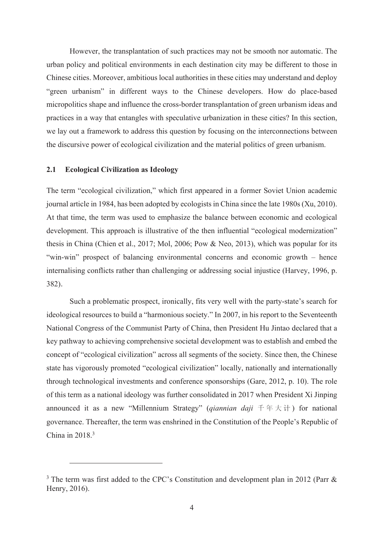However, the transplantation of such practices may not be smooth nor automatic. The urban policy and political environments in each destination city may be different to those in Chinese cities. Moreover, ambitious local authorities in these cities may understand and deploy "green urbanism" in different ways to the Chinese developers. How do place-based micropolitics shape and influence the cross-border transplantation of green urbanism ideas and practices in a way that entangles with speculative urbanization in these cities? In this section, we lay out a framework to address this question by focusing on the interconnections between the discursive power of ecological civilization and the material politics of green urbanism.

#### **-Ecological Civilization as Ideology**

The term "ecological civilization," which first appeared in a former Soviet Union academic journal article in 1984, has been adopted by ecologists in China since the late  $1980s$  (Xu, 2010). At that time, the term was used to emphasize the balance between economic and ecological development. This approach is illustrative of the then influential "ecological modernization" thesis in China (Chien et al., 2017; Mol, 2006; Pow & Neo, 2013), which was popular for its "win-win" prospect of balancing environmental concerns and economic growth – hence internalising conflicts rather than challenging or addressing social injustice (Harvey, 1996, p. 382).

Such a problematic prospect, ironically, fits very well with the party-state's search for ideological resources to build a "harmonious society." In 2007, in his report to the Seventeenth National Congress of the Communist Party of China, then President Hu Jintao declared that a key pathway to achieving comprehensive societal development was to establish and embed the concept of "ecological civilization" across all segments of the society. Since then, the Chinese state has vigorously promoted "ecological civilization" locally, nationally and internationally through technological investments and conference sponsorships (Gare, 2012, p. 10). The role of this term as a national ideology was further consolidated in 2017 when President Xi Jinping announced it as a new "Millennium Strategy" (*qiannian daji*  $\pm \pm \pm \pm$ ) for national governance. Thereafter, the term was enshrined in the Constitution of the People's Republic of China in  $2018<sup>3</sup>$ 

<sup>&</sup>lt;sup>3</sup> The term was first added to the CPC's Constitution and development plan in 2012 (Parr & Henry, 2016).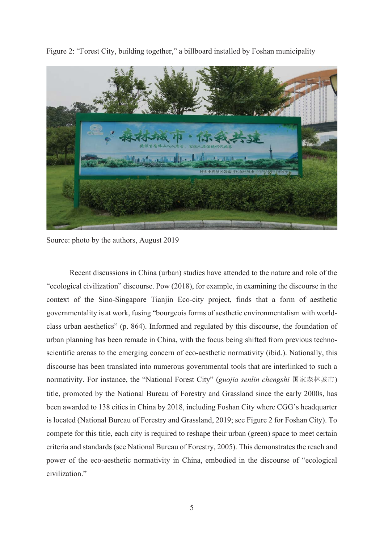

Figure 2: "Forest City, building together," a billboard installed by Foshan municipality

Source: photo by the authors, August 2019

Recent discussions in China (urban) studies have attended to the nature and role of the "ecological civilization" discourse. Pow (2018), for example, in examining the discourse in the context of the Sino-Singapore Tianjin Eco-city project, finds that a form of aesthetic governmentality is at work, fusing "bourgeois forms of aesthetic environmentalism with worldclass urban aesthetics" (p. 864). Informed and regulated by this discourse, the foundation of urban planning has been remade in China, with the focus being shifted from previous technoscientific arenas to the emerging concern of eco-aesthetic normativity (ibid.). Nationally, this discourse has been translated into numerous governmental tools that are interlinked to such a normativity. For instance, the "National Forest City" (*guojia senlin chengshi* 国家森林城市) title, promoted by the National Bureau of Forestry and Grassland since the early 2000s, has been awarded to 138 cities in China by 2018, including Foshan City where CGG's headquarter is located (National Bureau of Forestry and Grassland, 2019; see Figure 2 for Foshan City). To compete for this title, each city is required to reshape their urban (green) space to meet certain criteria and standards (see National Bureau of Forestry, 2005). This demonstrates the reach and power of the eco-aesthetic normativity in China, embodied in the discourse of "ecological civilization."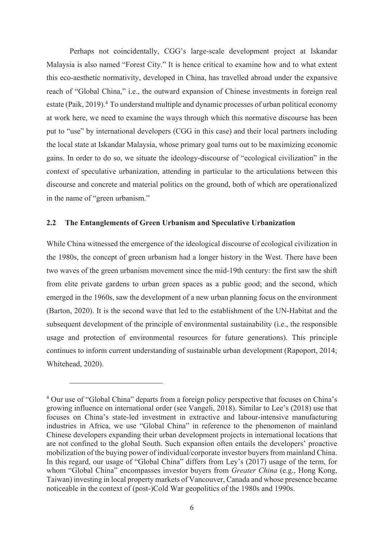Perhaps not coincidentally, CGG's large-scale development project at Iskandar Malaysia is also named "Forest City." It is hence critical to examine how and to what extent this eco-aesthetic normativity, developed in China, has travelled abroad under the expansive reach of "Global China," i.e., the outward expansion of Chinese investments in foreign real estate (Paik, 2019).<sup>4</sup> To understand multiple and dynamic processes of urban political economy at work here, we need to examine the ways through which this normative discourse has been put to "use" by international developers (CGG in this case) and their local partners including the local state at Iskandar Malaysia, whose primary goal turns out to be maximizing economic gains. In order to do so, we situate the ideology-discourse of "ecological civilization" in the context of speculative urbanization, attending in particular to the articulations between this discourse and concrete and material politics on the ground, both of which are operationalized in the name of "green urbanism."

#### **-The Entanglements of Green Urbanism and Speculative Urbanization**

While China witnessed the emergence of the ideological discourse of ecological civilization in the 1980s, the concept of green urbanism had a longer history in the West. There have been two waves of the green urbanism movement since the mid-19th century: the first saw the shift from elite private gardens to urban green spaces as a public good; and the second, which emerged in the 1960s, saw the development of a new urban planning focus on the environment (Barton, 2020). It is the second wave that led to the establishment of the UN-Habitat and the subsequent development of the principle of environmental sustainability (i.e., the responsible usage and protection of environmental resources for future generations). This principle continues to inform current understanding of sustainable urban development (Rapoport, 2014; Whitehead, 2020).

<sup>&</sup>lt;sup>4</sup> Our use of "Global China" departs from a foreign policy perspective that focuses on China's growing influence on international order (see Vangeli, 2018). Similar to Lee's (2018) use that focuses on China's state-led investment in extractive and labour-intensive manufacturing industries in Africa, we use "Global China" in reference to the phenomenon of mainland Chinese developers expanding their urban development projects in international locations that are not confined to the global South. Such expansion often entails the developers' proactive mobilization of the buying power of individual/corporate investor buyers from mainland China. In this regard, our usage of "Global China" differs from Ley's (2017) usage of the term, for whom "Global China" encompasses investor buyers from *Greater China* (e.g., Hong Kong, Taiwan) investing in local property markets of Vancouver, Canada and whose presence became noticeable in the context of (post-)Cold War geopolitics of the 1980s and 1990s.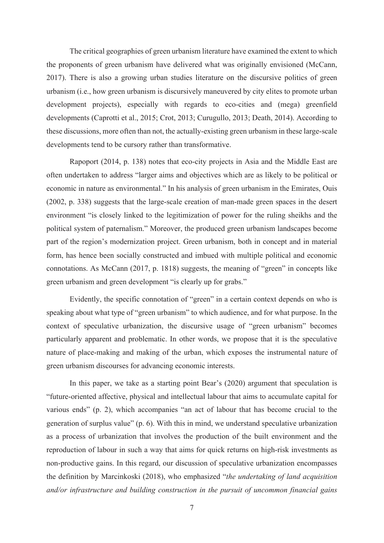The critical geographies of green urbanism literature have examined the extent to which the proponents of green urbanism have delivered what was originally envisioned (McCann, 2017). There is also a growing urban studies literature on the discursive politics of green urbanism (i.e., how green urbanism is discursively maneuvered by city elites to promote urban development projects), especially with regards to eco-cities and (mega) greenfield developments (Caprotti et al., 2015; Crot, 2013; Curugullo, 2013; Death, 2014). According to these discussions, more often than not, the actually-existing green urbanism in these large-scale developments tend to be cursory rather than transformative.

Rapoport (2014, p. 138) notes that eco-city projects in Asia and the Middle East are often undertaken to address "larger aims and objectives which are as likely to be political or economic in nature as environmental." In his analysis of green urbanism in the Emirates, Ouis (2002, p. 338) suggests that the large-scale creation of man-made green spaces in the desert environment "is closely linked to the legitimization of power for the ruling sheikhs and the political system of paternalism." Moreover, the produced green urbanism landscapes become part of the region's modernization project. Green urbanism, both in concept and in material form, has hence been socially constructed and imbued with multiple political and economic connotations. As McCann  $(2017, p. 1818)$  suggests, the meaning of "green" in concepts like green urbanism and green development "is clearly up for grabs."

Evidently, the specific connotation of "green" in a certain context depends on who is speaking about what type of "green urbanism" to which audience, and for what purpose. In the context of speculative urbanization, the discursive usage of "green urbanism" becomes particularly apparent and problematic. In other words, we propose that it is the speculative nature of place-making and making of the urban, which exposes the instrumental nature of green urbanism discourses for advancing economic interests.

In this paper, we take as a starting point Bear's (2020) argument that speculation is "future-oriented affective, physical and intellectual labour that aims to accumulate capital for various ends" (p. 2), which accompanies "an act of labour that has become crucial to the generation of surplus value"  $(p, 6)$ . With this in mind, we understand speculative urbanization as a process of urbanization that involves the production of the built environment and the reproduction of labour in such a way that aims for quick returns on high-risk investments as non-productive gains. In this regard, our discussion of speculative urbanization encompasses the definition by Marcinkoski (2018), who emphasized "*the undertaking of land acquisition* and/or infrastructure and building construction in the pursuit of uncommon financial gains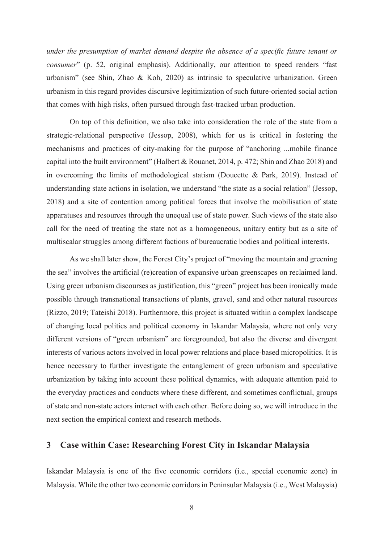*under the presumption of market demand despite the absence of a specific future tenant or consumer*" (p. 52, original emphasis). Additionally, our attention to speed renders "fast urbanism" (see Shin, Zhao & Koh, 2020) as intrinsic to speculative urbanization. Green urbanism in this regard provides discursive legitimization of such future-oriented social action that comes with high risks, often pursued through fast-tracked urban production.

On top of this definition, we also take into consideration the role of the state from a strategic-relational perspective (Jessop, 2008), which for us is critical in fostering the mechanisms and practices of city-making for the purpose of "anchoring ...mobile finance capital into the built environment" (Halbert & Rouanet, 2014, p. 472; Shin and Zhao 2018) and in overcoming the limits of methodological statism (Doucette & Park, 2019). Instead of understanding state actions in isolation, we understand "the state as a social relation" (Jessop, 2018) and a site of contention among political forces that involve the mobilisation of state apparatuses and resources through the unequal use of state power. Such views of the state also call for the need of treating the state not as a homogeneous, unitary entity but as a site of multiscalar struggles among different factions of bureaucratic bodies and political interests.

As we shall later show, the Forest City's project of "moving the mountain and greening the sea" involves the artificial (re)creation of expansive urban greenscapes on reclaimed land. Using green urbanism discourses as justification, this "green" project has been ironically made possible through transnational transactions of plants, gravel, sand and other natural resources (Rizzo, 2019; Tateishi 2018). Furthermore, this project is situated within a complex landscape of changing local politics and political economy in Iskandar Malaysia, where not only very different versions of "green urbanism" are foregrounded, but also the diverse and divergent interests of various actors involved in local power relations and place-based micropolitics. It is hence necessary to further investigate the entanglement of green urbanism and speculative urbanization by taking into account these political dynamics, with adequate attention paid to the everyday practices and conducts where these different, and sometimes conflictual, groups of state and non-state actors interact with each other. Before doing so, we will introduce in the next section the empirical context and research methods.

## **3** Case within Case: Researching Forest City in Iskandar Malaysia

Iskandar Malaysia is one of the five economic corridors (i.e., special economic zone) in Malaysia. While the other two economic corridors in Peninsular Malaysia (i.e., West Malaysia)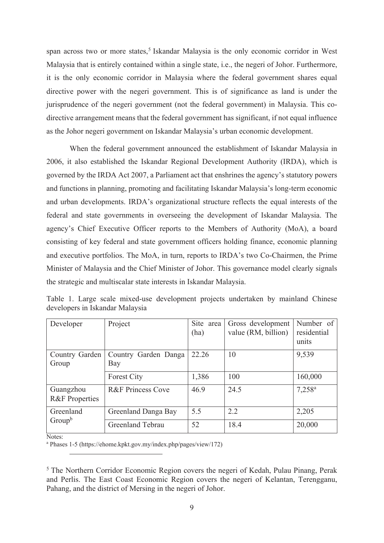span across two or more states,<sup>5</sup> Iskandar Malaysia is the only economic corridor in West Malaysia that is entirely contained within a single state, i.e., the negeri of Johor. Furthermore, it is the only economic corridor in Malaysia where the federal government shares equal directive power with the negeri government. This is of significance as land is under the jurisprudence of the negeri government (not the federal government) in Malaysia. This codirective arrangement means that the federal government has significant, if not equal influence as the Johor negeri government on Iskandar Malaysia's urban economic development.

When the federal government announced the establishment of Iskandar Malaysia in 2006, it also established the Iskandar Regional Development Authority (IRDA), which is governed by the IRDA Act 2007, a Parliament act that enshrines the agency's statutory powers and functions in planning, promoting and facilitating Iskandar Malaysia's long-term economic and urban developments. IRDA's organizational structure reflects the equal interests of the federal and state governments in overseeing the development of Iskandar Malaysia. The agency's Chief Executive Officer reports to the Members of Authority (MoA), a board consisting of key federal and state government officers holding finance, economic planning and executive portfolios. The MoA, in turn, reports to IRDA's two Co-Chairmen, the Prime Minister of Malaysia and the Chief Minister of Johor. This governance model clearly signals the strategic and multiscalar state interests in Iskandar Malaysia.

| Developer                              | Project                      | Site area<br>(ha) | Gross development<br>value (RM, billion) | Number of<br>residential<br>units |
|----------------------------------------|------------------------------|-------------------|------------------------------------------|-----------------------------------|
| Country Garden<br>Group                | Country Garden Danga<br>Bay  | 22.26             | 10                                       | 9,539                             |
|                                        | <b>Forest City</b>           | 1,386             | 100                                      | 160,000                           |
| Guangzhou<br><b>R&amp;F</b> Properties | <b>R&amp;F Princess Cove</b> | 46.9              | 24.5                                     | $7,258^{\rm a}$                   |
| Greenland<br>$Group^b$                 | Greenland Danga Bay          | 5.5               | 2.2                                      | 2,205                             |
|                                        | Greenland Tebrau             | 52                | 18.4                                     | 20,000                            |

Table 1. Large scale mixed-use development projects undertaken by mainland Chinese developers in Iskandar Malaysia

Notes<sup>.</sup>

<sup>a</sup> Phases 1-5 (https://ehome.kpkt.gov.my/index.php/pages/view/172)

 $<sup>5</sup>$  The Northern Corridor Economic Region covers the negeri of Kedah, Pulau Pinang, Perak</sup> and Perlis. The East Coast Economic Region covers the negeri of Kelantan, Terengganu, Pahang, and the district of Mersing in the negeri of Johor.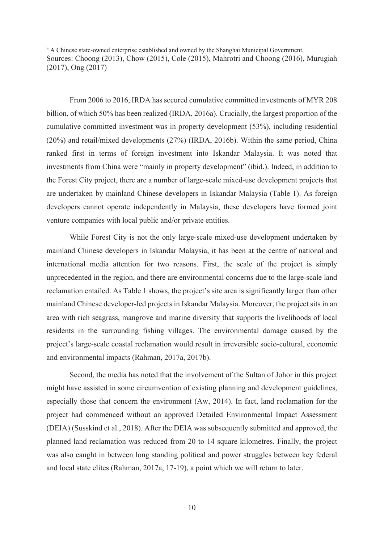<sup>b</sup> A Chinese state-owned enterprise established and owned by the Shanghai Municipal Government. Sources: Choong  $(2013)$ , Chow  $(2015)$ , Cole  $(2015)$ , Mahrotri and Choong  $(2016)$ , Murugiah  $(2017)$ , Ong  $(2017)$ 

From 2006 to 2016, IRDA has secured cumulative committed investments of MYR 208 billion, of which 50% has been realized (IRDA, 2016a). Crucially, the largest proportion of the cumulative committed investment was in property development (53%), including residential  $(20\%)$  and retail/mixed developments  $(27\%)$  (IRDA, 2016b). Within the same period, China ranked first in terms of foreign investment into Iskandar Malaysia. It was noted that investments from China were "mainly in property development" (ibid.). Indeed, in addition to the Forest City project, there are a number of large-scale mixed-use development projects that are undertaken by mainland Chinese developers in Iskandar Malaysia (Table 1). As foreign developers cannot operate independently in Malaysia, these developers have formed joint venture companies with local public and/or private entities.

While Forest City is not the only large-scale mixed-use development undertaken by mainland Chinese developers in Iskandar Malaysia, it has been at the centre of national and international media attention for two reasons. First, the scale of the project is simply unprecedented in the region, and there are environmental concerns due to the large-scale land reclamation entailed. As Table 1 shows, the project's site area is significantly larger than other mainland Chinese developer-led projects in Iskandar Malaysia. Moreover, the project sits in an area with rich seagrass, mangrove and marine diversity that supports the livelihoods of local residents in the surrounding fishing villages. The environmental damage caused by the project's large-scale coastal reclamation would result in irreversible socio-cultural, economic and environmental impacts (Rahman, 2017a, 2017b).

Second, the media has noted that the involvement of the Sultan of Johor in this project might have assisted in some circumvention of existing planning and development guidelines, especially those that concern the environment (Aw, 2014). In fact, land reclamation for the project had commenced without an approved Detailed Environmental Impact Assessment (DEIA) (Susskind et al., 2018). After the DEIA was subsequently submitted and approved, the planned land reclamation was reduced from 20 to 14 square kilometres. Finally, the project was also caught in between long standing political and power struggles between key federal and local state elites (Rahman, 2017a, 17-19), a point which we will return to later.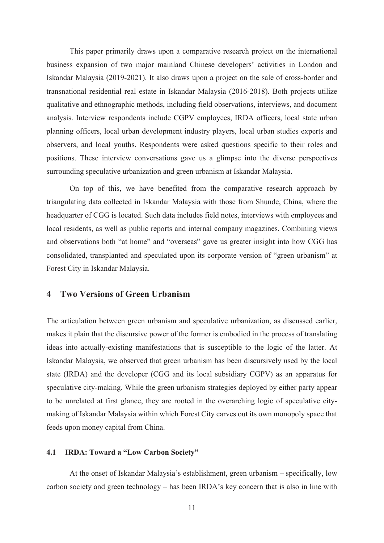This paper primarily draws upon a comparative research project on the international business expansion of two major mainland Chinese developers' activities in London and Iskandar Malaysia (2019-2021). It also draws upon a project on the sale of cross-border and transnational residential real estate in Iskandar Malaysia (2016-2018). Both projects utilize qualitative and ethnographic methods, including field observations, interviews, and document analysis. Interview respondents include CGPV employees, IRDA officers, local state urban planning officers, local urban development industry players, local urban studies experts and observers, and local youths. Respondents were asked questions specific to their roles and positions. These interview conversations gave us a glimpse into the diverse perspectives surrounding speculative urbanization and green urbanism at Iskandar Malaysia.

On top of this, we have benefited from the comparative research approach by triangulating data collected in Iskandar Malaysia with those from Shunde, China, where the headquarter of CGG is located. Such data includes field notes, interviews with employees and local residents, as well as public reports and internal company magazines. Combining views and observations both "at home" and "overseas" gave us greater insight into how CGG has consolidated, transplanted and speculated upon its corporate version of "green urbanism" at Forest City in Iskandar Malaysia.

## 4 Two Versions of Green Urbanism

The articulation between green urbanism and speculative urbanization, as discussed earlier, makes it plain that the discursive power of the former is embodied in the process of translating ideas into actually-existing manifestations that is susceptible to the logic of the latter. At Iskandar Malaysia, we observed that green urbanism has been discursively used by the local state (IRDA) and the developer (CGG and its local subsidiary CGPV) as an apparatus for speculative city-making. While the green urbanism strategies deployed by either party appear to be unrelated at first glance, they are rooted in the overarching logic of speculative citymaking of Iskandar Malaysia within which Forest City carves out its own monopoly space that feeds upon money capital from China.

#### **-1 IRDA: Toward a "Low Carbon Society"**

At the onset of Iskandar Malaysia's establishment, green urbanism – specifically, low carbon society and green technology  $-$  has been IRDA's key concern that is also in line with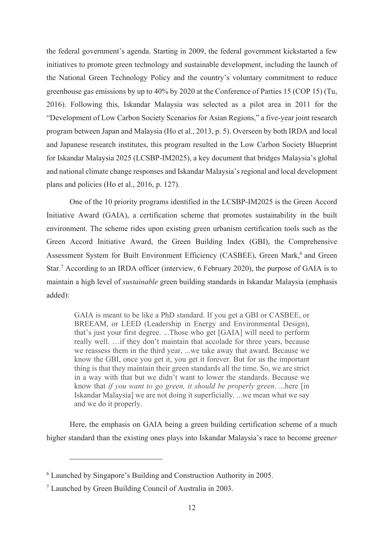the federal government's agenda. Starting in 2009, the federal government kickstarted a few initiatives to promote green technology and sustainable development, including the launch of the National Green Technology Policy and the country's voluntary commitment to reduce greenhouse gas emissions by up to  $40\%$  by  $2020$  at the Conference of Parties 15 (COP 15) (Tu,  $2016$ ). Following this, Iskandar Malaysia was selected as a pilot area in  $2011$  for the "Development of Low Carbon Society Scenarios for Asian Regions," a five-year joint research program between Japan and Malaysia (Ho et al., 2013, p. 5). Overseen by both IRDA and local and Japanese research institutes, this program resulted in the Low Carbon Society Blueprint for Iskandar Malaysia 2025 (LCSBP-IM2025), a key document that bridges Malaysia's global and national climate change responses and Iskandar Malaysia's regional and local development plans and policies (Ho et al.,  $2016$ , p. 127).

One of the 10 priority programs identified in the LCSBP-IM2025 is the Green Accord Initiative Award (GAIA), a certification scheme that promotes sustainability in the built environment. The scheme rides upon existing green urbanism certification tools such as the Green Accord Initiative Award, the Green Building Index (GBI), the Comprehensive Assessment System for Built Environment Efficiency (CASBEE), Green Mark,<sup>6</sup> and Green Star.<sup>7</sup> According to an IRDA officer (interview, 6 February 2020), the purpose of GAIA is to maintain a high level of *sustainable* green building standards in Iskandar Malaysia (emphasis added):

GAIA is meant to be like a PhD standard. If you get a GBI or CASBEE, or BREEAM, or LEED (Leadership in Energy and Environmental Design), that's just your first degree. ...Those who get [GAIA] will need to perform really well. ... if they don't maintain that accolade for three years, because we reassess them in the third year, ...we take away that award. Because we know the GBI, once you get it, you get it forever. But for us the important thing is that they maintain their green standards all the time. So, we are strict in a way with that but we didn't want to lower the standards. Because we know that *if you want to go green, it should be properly green.* ...here [in Iskandar Malaysia] we are not doing it superficially. ...we mean what we say and we do it properly.

Here, the emphasis on GAIA being a green building certification scheme of a much higher standard than the existing ones plays into Iskandar Malaysia's race to become greener

 $<sup>6</sup>$  Launched by Singapore's Building and Construction Authority in 2005.</sup>

 $^7$  Launched by Green Building Council of Australia in 2003.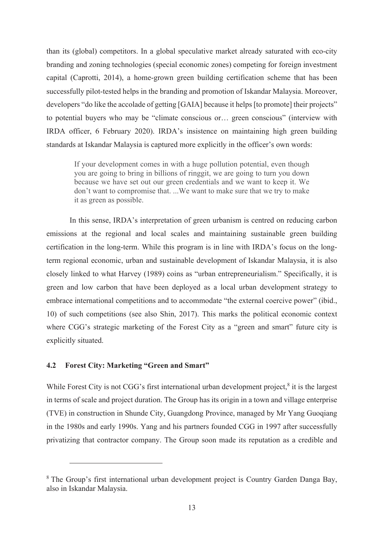than its (global) competitors. In a global speculative market already saturated with eco-city branding and zoning technologies (special economic zones) competing for foreign investment capital (Caprotti, 2014), a home-grown green building certification scheme that has been successfully pilot-tested helps in the branding and promotion of Iskandar Malaysia. Moreover, developers "do like the accolade of getting [GAIA] because it helps [to promote] their projects" to potential buyers who may be "climate conscious or... green conscious" (interview with IRDA officer, 6 February 2020). IRDA's insistence on maintaining high green building standards at Iskandar Malaysia is captured more explicitly in the officer's own words:

If your development comes in with a huge pollution potential, even though you are going to bring in billions of ringgit, we are going to turn you down because we have set out our green credentials and we want to keep it. We don't want to compromise that. ...We want to make sure that we try to make it as green as possible.

In this sense, IRDA's interpretation of green urbanism is centred on reducing carbon emissions at the regional and local scales and maintaining sustainable green building certification in the long-term. While this program is in line with IRDA's focus on the longterm regional economic, urban and sustainable development of Iskandar Malaysia, it is also closely linked to what Harvey (1989) coins as "urban entrepreneurialism." Specifically, it is green and low carbon that have been deployed as a local urban development strategy to embrace international competitions and to accommodate "the external coercive power" (ibid., 10) of such competitions (see also Shin, 2017). This marks the political economic context where CGG's strategic marketing of the Forest City as a "green and smart" future city is explicitly situated.

#### **-Forest City: Marketing "Green and Smart"**

While Forest City is not CGG's first international urban development project,<sup>8</sup> it is the largest in terms of scale and project duration. The Group has its origin in a town and village enterprise (TVE) in construction in Shunde City, Guangdong Province, managed by Mr Yang Guoqiang in the 1980s and early 1990s. Yang and his partners founded CGG in 1997 after successfully privatizing that contractor company. The Group soon made its reputation as a credible and

 $8$  The Group's first international urban development project is Country Garden Danga Bay, also in Iskandar Malaysia.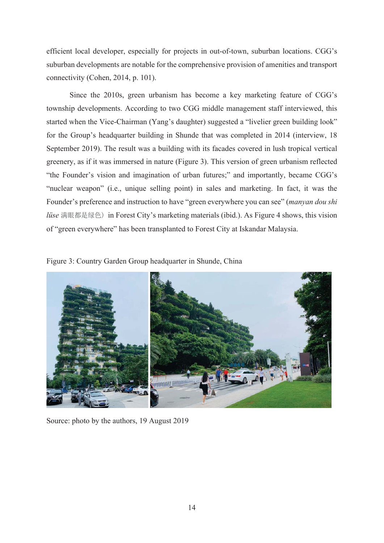efficient local developer, especially for projects in out-of-town, suburban locations. CGG's suburban developments are notable for the comprehensive provision of amenities and transport connectivity (Cohen, 2014, p. 101).

Since the 2010s, green urbanism has become a key marketing feature of CGG's township developments. According to two CGG middle management staff interviewed, this started when the Vice-Chairman (Yang's daughter) suggested a "livelier green building look" for the Group's headquarter building in Shunde that was completed in 2014 (interview, 18) September 2019). The result was a building with its facades covered in lush tropical vertical greenery, as if it was immersed in nature (Figure 3). This version of green urbanism reflected "the Founder's vision and imagination of urban futures;" and importantly, became CGG's "nuclear weapon" (i.e., unique selling point) in sales and marketing. In fact, it was the Founder's preference and instruction to have "green everywhere you can see" (*manyan dou shi*) lüse 满眼都是绿色) in Forest City's marketing materials (ibid.). As Figure 4 shows, this vision of "green everywhere" has been transplanted to Forest City at Iskandar Malaysia.

Figure 3: Country Garden Group headquarter in Shunde, China



Source: photo by the authors, 19 August 2019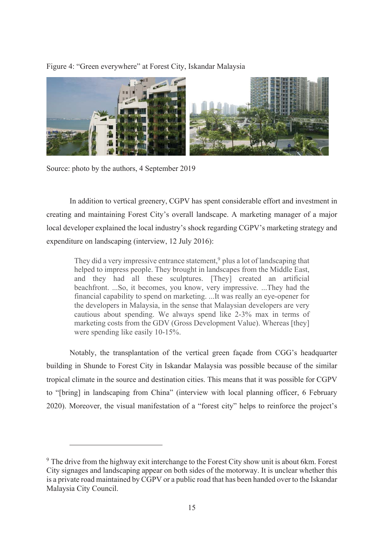Figure 4: "Green everywhere" at Forest City, Iskandar Malaysia



Source: photo by the authors, 4 September 2019

In addition to vertical greenery, CGPV has spent considerable effort and investment in creating and maintaining Forest City's overall landscape. A marketing manager of a major local developer explained the local industry's shock regarding CGPV's marketing strategy and expenditure on landscaping (interview,  $12 \text{ July } 2016$ ):

They did a very impressive entrance statement,<sup>9</sup> plus a lot of landscaping that helped to impress people. They brought in landscapes from the Middle East, and they had all these sculptures. [They] created an artificial beachfront. ...So, it becomes, you know, very impressive. ...They had the financial capability to spend on marketing. ...It was really an eye-opener for the developers in Malaysia, in the sense that Malaysian developers are very cautious about spending. We always spend like 2-3% max in terms of marketing costs from the GDV (Gross Development Value). Whereas [they] were spending like easily 10-15%.

Notably, the transplantation of the vertical green façade from CGG's headquarter building in Shunde to Forest City in Iskandar Malaysia was possible because of the similar tropical climate in the source and destination cities. This means that it was possible for CGPV to "[bring] in landscaping from China" (interview with local planning officer, 6 February (A) 2020). Moreover, the visual manifestation of a "forest city" helps to reinforce the project's

<sup>&</sup>lt;sup>9</sup> The drive from the highway exit interchange to the Forest City show unit is about 6km. Forest City signages and landscaping appear on both sides of the motorway. It is unclear whether this is a private road maintained by CGPV or a public road that has been handed over to the Iskandar Malaysia City Council.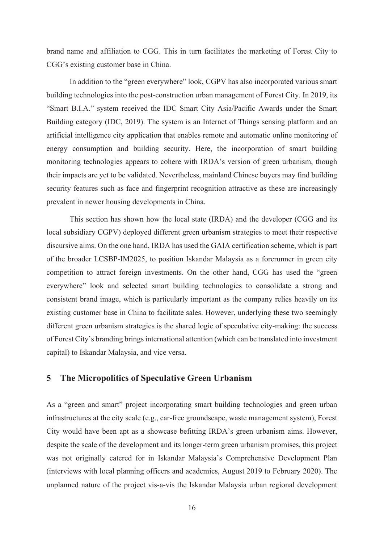brand name and affiliation to CGG. This in turn facilitates the marketing of Forest City to CGG's existing customer base in China.

In addition to the "green everywhere" look, CGPV has also incorporated various smart building technologies into the post-construction urban management of Forest City. In 2019, its "Smart B.I.A." system received the IDC Smart City Asia/Pacific Awards under the Smart Building category (IDC, 2019). The system is an Internet of Things sensing platform and an artificial intelligence city application that enables remote and automatic online monitoring of energy consumption and building security. Here, the incorporation of smart building monitoring technologies appears to cohere with IRDA's version of green urbanism, though their impacts are yet to be validated. Nevertheless, mainland Chinese buyers may find building security features such as face and fingerprint recognition attractive as these are increasingly prevalent in newer housing developments in China.

This section has shown how the local state (IRDA) and the developer (CGG and its local subsidiary CGPV) deployed different green urbanism strategies to meet their respective discursive aims. On the one hand, IRDA has used the GAIA certification scheme, which is part of the broader LCSBP-IM2025, to position Iskandar Malaysia as a forerunner in green city competition to attract foreign investments. On the other hand, CGG has used the "green everywhere" look and selected smart building technologies to consolidate a strong and consistent brand image, which is particularly important as the company relies heavily on its existing customer base in China to facilitate sales. However, underlying these two seemingly different green urbanism strategies is the shared logic of speculative city-making: the success of Forest City's branding brings international attention (which can be translated into investment capital) to Iskandar Malaysia, and vice versa.

## 5 The Micropolitics of Speculative Green Urbanism

As a "green and smart" project incorporating smart building technologies and green urban infrastructures at the city scale (e.g., car-free groundscape, waste management system), Forest City would have been apt as a showcase befitting IRDA's green urbanism aims. However, despite the scale of the development and its longer-term green urbanism promises, this project was not originally catered for in Iskandar Malaysia's Comprehensive Development Plan (interviews with local planning officers and academics, August 2019 to February 2020). The unplanned nature of the project vis-a-vis the Iskandar Malaysia urban regional development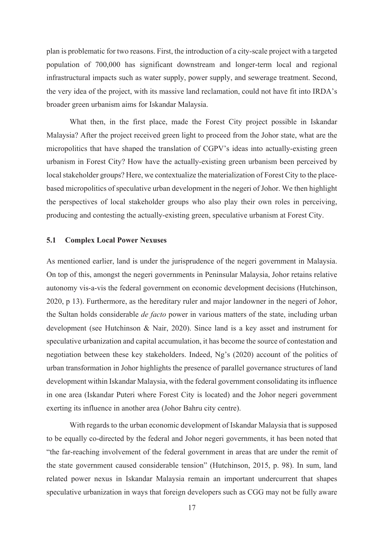plan is problematic for two reasons. First, the introduction of a city-scale project with a targeted population of 700,000 has significant downstream and longer-term local and regional infrastructural impacts such as water supply, power supply, and sewerage treatment. Second, the very idea of the project, with its massive land reclamation, could not have fit into IRDA's broader green urbanism aims for Iskandar Malaysia.

What then, in the first place, made the Forest City project possible in Iskandar Malaysia? After the project received green light to proceed from the Johor state, what are the micropolitics that have shaped the translation of CGPV's ideas into actually-existing green urbanism in Forest City? How have the actually-existing green urbanism been perceived by local stakeholder groups? Here, we contextualize the materialization of Forest City to the placebased micropolitics of speculative urban development in the negeri of Johor. We then highlight the perspectives of local stakeholder groups who also play their own roles in perceiving, producing and contesting the actually-existing green, speculative urbanism at Forest City.

#### **-Complex Local Power Nexuses**

As mentioned earlier, land is under the jurisprudence of the negeri government in Malaysia. On top of this, amongst the negeri governments in Peninsular Malaysia, Johor retains relative autonomy vis-a-vis the federal government on economic development decisions (Hutchinson,  $2020$ , p 13). Furthermore, as the hereditary ruler and major landowner in the negeri of Johor, the Sultan holds considerable *de facto* power in various matters of the state, including urban development (see Hutchinson & Nair, 2020). Since land is a key asset and instrument for speculative urbanization and capital accumulation, it has become the source of contestation and negotiation between these key stakeholders. Indeed, Ng's  $(2020)$  account of the politics of urban transformation in Johor highlights the presence of parallel governance structures of land development within Iskandar Malaysia, with the federal government consolidating its influence in one area (Iskandar Puteri where Forest City is located) and the Johor negeri government exerting its influence in another area (Johor Bahru city centre).

With regards to the urban economic development of Iskandar Malaysia that is supposed to be equally co-directed by the federal and Johor negeri governments, it has been noted that "the far-reaching involvement of the federal government in areas that are under the remit of the state government caused considerable tension" (Hutchinson, 2015, p. 98). In sum, land related power nexus in Iskandar Malaysia remain an important undercurrent that shapes speculative urbanization in ways that foreign developers such as CGG may not be fully aware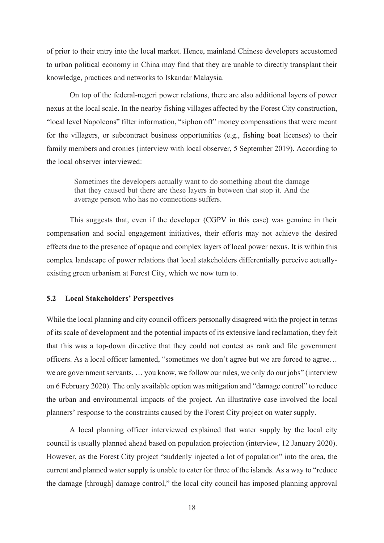of prior to their entry into the local market. Hence, mainland Chinese developers accustomed to urban political economy in China may find that they are unable to directly transplant their knowledge, practices and networks to Iskandar Malaysia.

On top of the federal-negeri power relations, there are also additional layers of power nexus at the local scale. In the nearby fishing villages affected by the Forest City construction, "local level Napoleons" filter information, "siphon off" money compensations that were meant for the villagers, or subcontract business opportunities (e.g., fishing boat licenses) to their family members and cronies (interview with local observer, 5 September 2019). According to the local observer interviewed:

Sometimes the developers actually want to do something about the damage that they caused but there are these layers in between that stop it. And the average person who has no connections suffers.

This suggests that, even if the developer (CGPV in this case) was genuine in their compensation and social engagement initiatives, their efforts may not achieve the desired effects due to the presence of opaque and complex layers of local power nexus. It is within this complex landscape of power relations that local stakeholders differentially perceive actuallyexisting green urbanism at Forest City, which we now turn to.

#### **-Local Stakeholders' Perspectives**

While the local planning and city council officers personally disagreed with the project in terms of its scale of development and the potential impacts of its extensive land reclamation, they felt that this was a top-down directive that they could not contest as rank and file government officers. As a local officer lamented, "sometimes we don't agree but we are forced to agree... We are government servants, ... you know, we follow our rules, we only do our jobs" (interview on 6 February 2020). The only available option was mitigation and "damage control" to reduce the urban and environmental impacts of the project. An illustrative case involved the local planners' response to the constraints caused by the Forest City project on water supply.

A local planning officer interviewed explained that water supply by the local city council is usually planned ahead based on population projection (interview, 12 January 2020). However, as the Forest City project "suddenly injected a lot of population" into the area, the current and planned water supply is unable to cater for three of the islands. As a way to "reduce" the damage [through] damage control," the local city council has imposed planning approval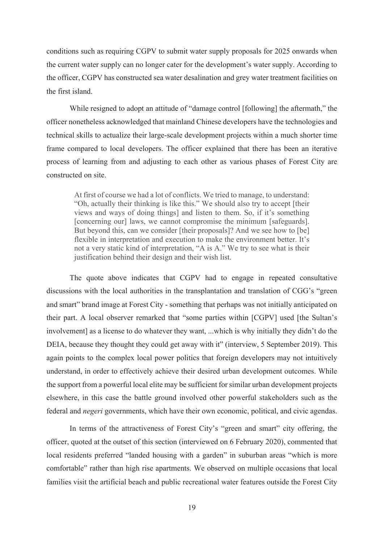conditions such as requiring CGPV to submit water supply proposals for 2025 onwards when the current water supply can no longer cater for the development's water supply. According to the officer, CGPV has constructed sea water desalination and grey water treatment facilities on the first island

While resigned to adopt an attitude of "damage control [following] the aftermath," the officer nonetheless acknowledged that mainland Chinese developers have the technologies and technical skills to actualize their large-scale development projects within a much shorter time frame compared to local developers. The officer explained that there has been an iterative process of learning from and adjusting to each other as various phases of Forest City are constructed on site

At first of course we had a lot of conflicts. We tried to manage, to understand: "Oh, actually their thinking is like this." We should also try to accept [their views and ways of doing things] and listen to them. So, if it's something [concerning our] laws, we cannot compromise the minimum [safeguards]. But beyond this, can we consider [their proposals]? And we see how to [be] flexible in interpretation and execution to make the environment better. It's not a very static kind of interpretation, "A is A." We try to see what is their justification behind their design and their wish list.

The quote above indicates that CGPV had to engage in repeated consultative discussions with the local authorities in the transplantation and translation of CGG's "green" and smart" brand image at Forest City - something that perhaps was not initially anticipated on their part. A local observer remarked that "some parties within [CGPV] used [the Sultan's involvement] as a license to do whatever they want, ...which is why initially they didn't do the DEIA, because they thought they could get away with it" (interview, 5 September 2019). This again points to the complex local power politics that foreign developers may not intuitively understand, in order to effectively achieve their desired urban development outcomes. While the support from a powerful local elite may be sufficient for similar urban development projects elsewhere, in this case the battle ground involved other powerful stakeholders such as the federal and *negeri* governments, which have their own economic, political, and civic agendas.

In terms of the attractiveness of Forest City's "green and smart" city offering, the officer, quoted at the outset of this section (interviewed on 6 February 2020), commented that local residents preferred "landed housing with a garden" in suburban areas "which is more comfortable" rather than high rise apartments. We observed on multiple occasions that local families visit the artificial beach and public recreational water features outside the Forest City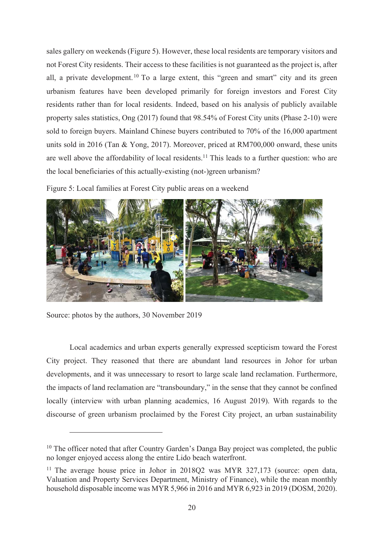sales gallery on weekends (Figure 5). However, these local residents are temporary visitors and not Forest City residents. Their access to these facilities is not guaranteed as the project is, after all, a private development.<sup>10</sup> To a large extent, this "green and smart" city and its green urbanism features have been developed primarily for foreign investors and Forest City residents rather than for local residents. Indeed, based on his analysis of publicly available property sales statistics, Ong  $(2017)$  found that 98.54% of Forest City units (Phase 2-10) were sold to foreign buyers. Mainland Chinese buyers contributed to  $70\%$  of the  $16,000$  apartment units sold in 2016 (Tan & Yong, 2017). Moreover, priced at RM700,000 onward, these units are well above the affordability of local residents.<sup>11</sup> This leads to a further question: who are the local beneficiaries of this actually-existing (not-)green urbanism?

Figure 5: Local families at Forest City public areas on a weekend



Source: photos by the authors, 30 November 2019

Local academics and urban experts generally expressed scepticism toward the Forest City project. They reasoned that there are abundant land resources in Johor for urban developments, and it was unnecessary to resort to large scale land reclamation. Furthermore, the impacts of land reclamation are "transboundary," in the sense that they cannot be confined locally (interview with urban planning academics, 16 August 2019). With regards to the discourse of green urbanism proclaimed by the Forest City project, an urban sustainability

 $^{10}$  The officer noted that after Country Garden's Danga Bay project was completed, the public no longer enjoyed access along the entire Lido beach waterfront.

<sup>&</sup>lt;sup>11</sup> The average house price in Johor in 2018O2 was MYR 327,173 (source: open data, Valuation and Property Services Department, Ministry of Finance), while the mean monthly household disposable income was MYR  $5,966$  in 2016 and MYR  $6,923$  in 2019 (DOSM, 2020).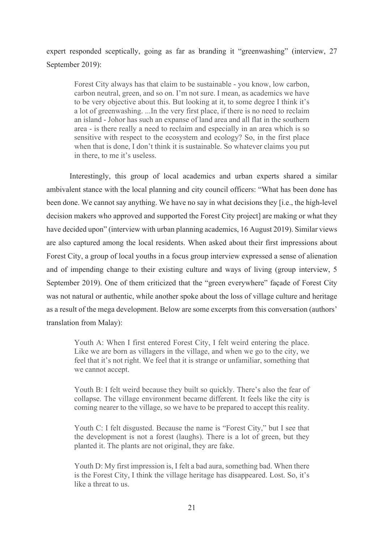expert responded sceptically, going as far as branding it "greenwashing" (interview, 27 September 2019):

Forest City always has that claim to be sustainable - you know, low carbon, carbon neutral, green, and so on. I'm not sure. I mean, as academics we have to be very objective about this. But looking at it, to some degree I think it's a lot of greenwashing. ...In the very first place, if there is no need to reclaim an island - Johor has such an expanse of land area and all flat in the southern area - is there really a need to reclaim and especially in an area which is so sensitive with respect to the ecosystem and ecology? So, in the first place when that is done, I don't think it is sustainable. So whatever claims you put in there, to me it's useless.

Interestingly, this group of local academics and urban experts shared a similar ambivalent stance with the local planning and city council officers: "What has been done has been done. We cannot say anything. We have no say in what decisions they [i.e., the high-level decision makers who approved and supported the Forest City project] are making or what they have decided upon" (interview with urban planning academics, 16 August 2019). Similar views are also captured among the local residents. When asked about their first impressions about Forest City, a group of local youths in a focus group interview expressed a sense of alienation and of impending change to their existing culture and ways of living (group interview, 5 September 2019). One of them criticized that the "green everywhere" façade of Forest City was not natural or authentic, while another spoke about the loss of village culture and heritage as a result of the mega development. Below are some excerpts from this conversation (authors' translation from Malay):

Youth A: When I first entered Forest City, I felt weird entering the place. Like we are born as villagers in the village, and when we go to the city, we feel that it's not right. We feel that it is strange or unfamiliar, something that we cannot accept.

Youth B: I felt weird because they built so quickly. There's also the fear of collapse. The village environment became different. It feels like the city is coming nearer to the village, so we have to be prepared to accept this reality.

Youth C: I felt disgusted. Because the name is "Forest City," but I see that the development is not a forest (laughs). There is a lot of green, but they planted it. The plants are not original, they are fake.

Youth D: My first impression is, I felt a bad aura, something bad. When there is the Forest City, I think the village heritage has disappeared. Lost. So, it's like a threat to us.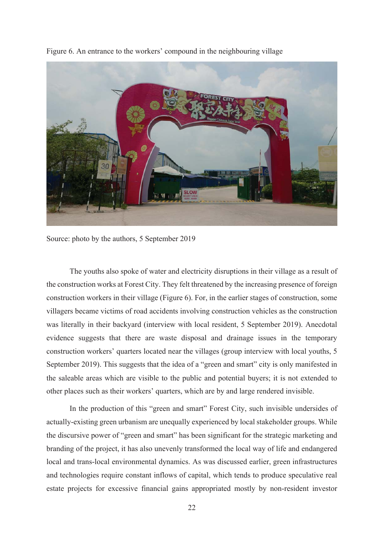

Figure 6. An entrance to the workers' compound in the neighbouring village

Source: photo by the authors, 5 September 2019

The youths also spoke of water and electricity disruptions in their village as a result of the construction works at Forest City. They felt threatened by the increasing presence of foreign construction workers in their village (Figure 6). For, in the earlier stages of construction, some villagers became victims of road accidents involving construction vehicles as the construction was literally in their backyard (interview with local resident, 5 September 2019). Anecdotal evidence suggests that there are waste disposal and drainage issues in the temporary construction workers' quarters located near the villages (group interview with local youths, 5 September 2019). This suggests that the idea of a "green and smart" city is only manifested in the saleable areas which are visible to the public and potential buyers; it is not extended to other places such as their workers' quarters, which are by and large rendered invisible.

In the production of this "green and smart" Forest City, such invisible undersides of actually-existing green urbanism are unequally experienced by local stakeholder groups. While the discursive power of "green and smart" has been significant for the strategic marketing and branding of the project, it has also unevenly transformed the local way of life and endangered local and trans-local environmental dynamics. As was discussed earlier, green infrastructures and technologies require constant inflows of capital, which tends to produce speculative real estate projects for excessive financial gains appropriated mostly by non-resident investor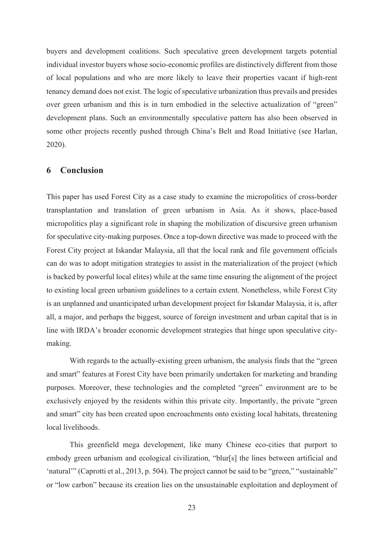buyers and development coalitions. Such speculative green development targets potential individual investor buyers whose socio-economic profiles are distinctively different from those of local populations and who are more likely to leave their properties vacant if high-rent tenancy demand does not exist. The logic of speculative urbanization thus prevails and presides over green urbanism and this is in turn embodied in the selective actualization of "green" development plans. Such an environmentally speculative pattern has also been observed in some other projects recently pushed through China's Belt and Road Initiative (see Harlan,  $2020$ ).

## **6** Conclusion

This paper has used Forest City as a case study to examine the micropolitics of cross-border transplantation and translation of green urbanism in Asia. As it shows, place-based micropolitics play a significant role in shaping the mobilization of discursive green urbanism for speculative city-making purposes. Once a top-down directive was made to proceed with the Forest City project at Iskandar Malaysia, all that the local rank and file government officials can do was to adopt mitigation strategies to assist in the materialization of the project (which is backed by powerful local elites) while at the same time ensuring the alignment of the project to existing local green urbanism guidelines to a certain extent. Nonetheless, while Forest City is an unplanned and unanticipated urban development project for Iskandar Malaysia, it is, after all, a major, and perhaps the biggest, source of foreign investment and urban capital that is in line with IRDA's broader economic development strategies that hinge upon speculative citymaking.

With regards to the actually-existing green urbanism, the analysis finds that the "green and smart" features at Forest City have been primarily undertaken for marketing and branding purposes. Moreover, these technologies and the completed "green" environment are to be exclusively enjoyed by the residents within this private city. Importantly, the private "green and smart" city has been created upon encroachments onto existing local habitats, threatening local livelihoods.

This greenfield mega development, like many Chinese eco-cities that purport to embody green urbanism and ecological civilization, "blur[s] the lines between artificial and 'natural'" (Caprotti et al., 2013, p. 504). The project cannot be said to be "green," "sustainable" or "low carbon" because its creation lies on the unsustainable exploitation and deployment of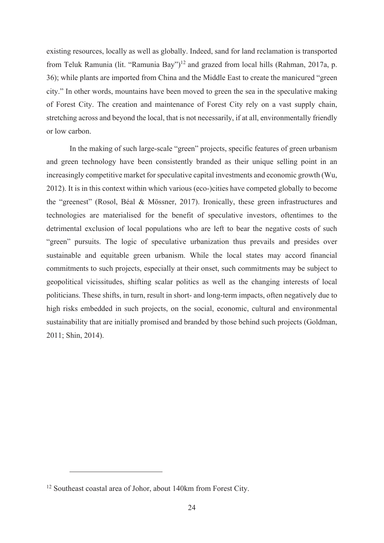existing resources, locally as well as globally. Indeed, sand for land reclamation is transported from Teluk Ramunia (lit. "Ramunia Bay")<sup>12</sup> and grazed from local hills (Rahman, 2017a, p. 36); while plants are imported from China and the Middle East to create the manicured "green" city." In other words, mountains have been moved to green the sea in the speculative making of Forest City. The creation and maintenance of Forest City rely on a vast supply chain, stretching across and beyond the local, that is not necessarily, if at all, environmentally friendly or low carbon.

In the making of such large-scale "green" projects, specific features of green urbanism and green technology have been consistently branded as their unique selling point in an increasingly competitive market for speculative capital investments and economic growth (Wu, 2012). It is in this context within which various (eco-)cities have competed globally to become the "greenest" (Rosol, Béal & Mössner, 2017). Ironically, these green infrastructures and technologies are materialised for the benefit of speculative investors, oftentimes to the detrimental exclusion of local populations who are left to bear the negative costs of such "green" pursuits. The logic of speculative urbanization thus prevails and presides over sustainable and equitable green urbanism. While the local states may accord financial commitments to such projects, especially at their onset, such commitments may be subject to geopolitical vicissitudes, shifting scalar politics as well as the changing interests of local politicians. These shifts, in turn, result in short- and long-term impacts, often negatively due to high risks embedded in such projects, on the social, economic, cultural and environmental sustainability that are initially promised and branded by those behind such projects (Goldman, 2011; Shin, 2014).

 $12$  Southeast coastal area of Johor, about 140km from Forest City.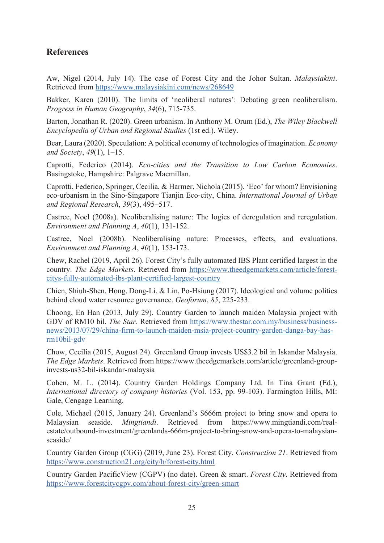## $$

Aw, Nigel (2014, July 14). The case of Forest City and the Johor Sultan. *Malaysiakini*. Retrieved from https://www.malaysiakini.com/news/268649

Bakker, Karen (2010). The limits of 'neoliberal natures': Debating green neoliberalism. *Progress in Human Geography, 34(6), 715-735.* 

Barton, Jonathan R. (2020). Green urbanism. In Anthony M. Orum (Ed.), The Wiley Blackwell *Encyclopedia of Urban and Regional Studies (1st ed.). Wiley.* 

Bear, Laura (2020). Speculation: A political economy of technologies of imagination. *Economy and Society, 49(1), 1–15.* 

Caprotti, Federico (2014). *Eco-cities and the Transition to Low Carbon Economies*. Basingstoke, Hampshire: Palgrave Macmillan.

Caprotti, Federico, Springer, Cecilia, & Harmer, Nichola (2015). 'Eco' for whom? Envisioning eco-urbanism in the Sino-Singapore Tianjin Eco-city, China. International Journal of Urban *and Regional Research, 39(3), 495–517.* 

Castree, Noel (2008a). Neoliberalising nature: The logics of deregulation and reregulation. *Environment and Planning A, 40(1), 131-152.* 

Castree, Noel (2008b). Neoliberalising nature: Processes, effects, and evaluations. *Environment and Planning A, 40(1), 153-173.* 

Chew, Rachel (2019, April 26). Forest City's fully automated IBS Plant certified largest in the country. The Edge Markets. Retrieved from https://www.theedgemarkets.com/article/forestcitys-fully-automated-ibs-plant-certified-largest-country

Chien, Shiuh-Shen, Hong, Dong-Li, & Lin, Po-Hsiung (2017). Ideological and volume politics behind cloud water resource governance. Geoforum, 85, 225-233.

Choong, En Han (2013, July 29). Country Garden to launch maiden Malaysia project with GDV of RM10 bil. The Star. Retrieved from https://www.thestar.com.my/business/businessnews/2013/07/29/china-firm-to-launch-maiden-msia-project-country-garden-danga-bay-has-<u>rm10bil-gdv</u>

Chow, Cecilia (2015, August 24). Greenland Group invests US\$3.2 bil in Iskandar Malaysia. The Edge Markets. Retrieved from https://www.theedgemarkets.com/article/greenland-groupinvests-us32-bil-iskandar-malaysia

Cohen, M. L. (2014). Country Garden Holdings Company Ltd. In Tina Grant (Ed.), International directory of company histories (Vol. 153, pp. 99-103). Farmington Hills, MI: Gale, Cengage Learning.

Cole, Michael (2015, January 24). Greenland's \$666m project to bring snow and opera to Malaysian seaside. Mingtiandi. Retrieved from https://www.mingtiandi.com/realestate/outbound-investment/greenlands-666m-project-to-bring-snow-and-opera-to-malaysianseaside/

Country Garden Group (CGG) (2019, June 23). Forest City. Construction 21. Retrieved from https://www.construction21.org/city/h/forest-city.html

Country Garden Pacific View (CGPV) (no date). Green & smart. Forest City. Retrieved from https://www.forestcitycgpv.com/about-forest-city/green-smart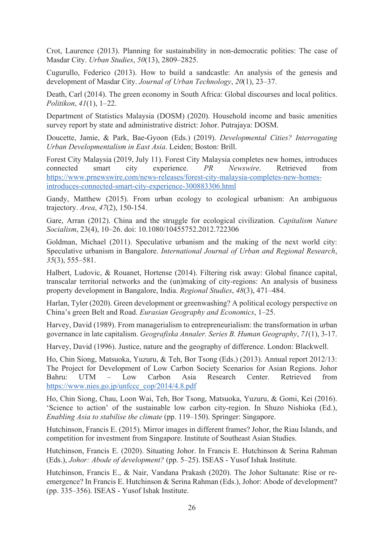Crot, Laurence (2013). Planning for sustainability in non-democratic polities: The case of Masdar City. *Urban Studies*, 50(13), 2809-2825.

Cugurullo, Federico (2013). How to build a sandcastle: An analysis of the genesis and development of Masdar City. Journal of Urban Technology, 20(1), 23-37.

Death, Carl (2014). The green economy in South Africa: Global discourses and local politics. *Politikon, 41*(1), 1–22.

Department of Statistics Malaysia (DOSM) (2020). Household income and basic amenities survey report by state and administrative district: Johor. Putrajaya: DOSM.

Doucette, Jamie, & Park, Bae-Gyoon (Eds.) (2019). *Developmental Cities? Interrogating Urban Developmentalism in East Asia. Leiden; Boston: Brill.* 

Forest City Malaysia (2019, July 11). Forest City Malaysia completes new homes, introduces connected smart city experience. PR Newswire. Retrieved from https://www.prnewswire.com/news-releases/forest-city-malaysia-completes-new-homesintroduces-connected-smart-city-experience-300883306.html

Gandy, Matthew (2015). From urban ecology to ecological urbanism: An ambiguous trajectory. *Area*, 47(2), 150-154.

Gare, Arran (2012). China and the struggle for ecological civilization. *Capitalism Nature Socialism*, 23(4), 10-26. doi: 10.1080/10455752.2012.722306

Goldman, Michael (2011). Speculative urbanism and the making of the next world city: Speculative urbanism in Bangalore. International Journal of Urban and Regional Research,  $35(3)$ ,  $555-581$ .

Halbert, Ludovic, & Rouanet, Hortense (2014). Filtering risk away: Global finance capital, transcalar territorial networks and the (un)making of city-regions: An analysis of business property development in Bangalore, India. *Regional Studies*, 48(3), 471–484.

Harlan, Tyler (2020). Green development or greenwashing? A political ecology perspective on China's green Belt and Road. *Eurasian Geography and Economics*, 1–25.

Harvey, David (1989). From managerialism to entrepreneurialism: the transformation in urban governance in late capitalism. Geografiska Annaler. Series B. Human Geography, 71(1), 3-17.

Harvey, David (1996). Justice, nature and the geography of difference. London: Blackwell.

Ho, Chin Siong, Matsuoka, Yuzuru, & Teh, Bor Tsong (Eds.) (2013). Annual report 2012/13: The Project for Development of Low Carbon Society Scenarios for Asian Regions. Johor Bahru: UTM - Low Carbon Asia Research Center. Retrieved from https://www.nies.go.jp/unfccc\_cop/2014/4.8.pdf

Ho, Chin Siong, Chau, Loon Wai, Teh, Bor Tsong, Matsuoka, Yuzuru, & Gomi, Kei (2016). 'Science to action' of the sustainable low carbon city-region. In Shuzo Nishioka (Ed.), *Enabling Asia to stabilise the climate* (pp. 119–150). Springer: Singapore.

Hutchinson, Francis E. (2015). Mirror images in different frames? Johor, the Riau Islands, and competition for investment from Singapore. Institute of Southeast Asian Studies.

Hutchinson, Francis E. (2020). Situating Johor. In Francis E. Hutchinson & Serina Rahman (Eds.), Johor: Abode of development? (pp. 5-25). ISEAS - Yusof Ishak Institute.

Hutchinson, Francis E., & Nair, Vandana Prakash (2020). The Johor Sultanate: Rise or reemergence? In Francis E. Hutchinson & Serina Rahman (Eds.), Johor: Abode of development? (pp. 335–356). ISEAS - Yusof Ishak Institute.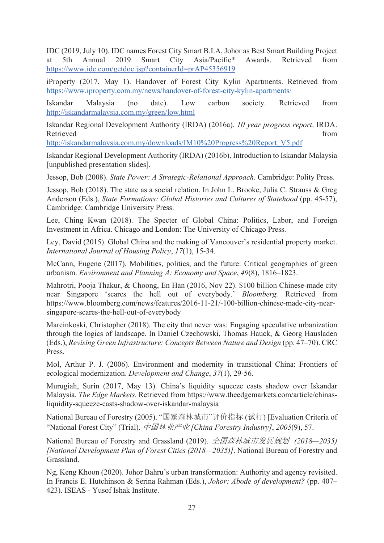IDC (2019, July 10). IDC names Forest City Smart B.I.A, Johor as Best Smart Building Project at 5th Annual 2019 Smart City Asia/Pacific\* Awards. Retrieved from https://www.idc.com/getdoc.jsp?containerId=prAP45356919

iProperty (2017, May 1). Handover of Forest City Kylin Apartments. Retrieved from https://www.iproperty.com.my/news/handover-of-forest-city-kylin-apartments/

Iskandar Malaysia (no date). Low carbon society. Retrieved from http://iskandarmalaysia.com.my/green/low.html

Iskandar Regional Development Authority (IRDA) (2016a). 10 year progress report. IRDA. Retrieved from

http://iskandarmalaysia.com.my/downloads/IM10%20Progress%20Report V5.pdf

Iskandar Regional Development Authority (IRDA) (2016b). Introduction to Iskandar Malaysia [unpublished presentation slides].

Jessop, Bob (2008). State Power: A Strategic-Relational Approach. Cambridge: Polity Press.

Jessop, Bob (2018). The state as a social relation. In John L. Brooke, Julia C. Strauss & Greg Anderson (Eds.), State Formations: Global Histories and Cultures of Statehood (pp. 45-57), Cambridge: Cambridge University Press.

Lee, Ching Kwan (2018). The Specter of Global China: Politics, Labor, and Foreign Investment in Africa. Chicago and London: The University of Chicago Press.

Ley, David (2015). Global China and the making of Vancouver's residential property market. International Journal of Housing Policy, 17(1), 15-34.

McCann, Eugene (2017). Mobilities, politics, and the future: Critical geographies of green urbanism. Environment and Planning A: Economy and Space, 49(8), 1816–1823.

Mahrotri, Pooja Thakur, & Choong, En Han (2016, Nov 22). \$100 billion Chinese-made city near Singapore 'scares the hell out of everybody.' *Bloomberg*. Retrieved from https://www.bloomberg.com/news/features/2016-11-21/-100-billion-chinese-made-city-nearsingapore-scares-the-hell-out-of-everybody

Marcinkoski, Christopher  $(2018)$ . The city that never was: Engaging speculative urbanization through the logics of landscape. In Daniel Czechowski, Thomas Hauck, & Georg Hausladen (Eds.), Revising Green Infrastructure: Concepts Between Nature and Design (pp. 47–70). CRC Press.

Mol, Arthur P. J. (2006). Environment and modernity in transitional China: Frontiers of ecological modernization. Development and Change, 37(1), 29-56.

Murugiah, Surin (2017, May 13). China's liquidity squeeze casts shadow over Iskandar Malaysia. The Edge Markets. Retrieved from https://www.theedgemarkets.com/article/chinasliquidity-squeeze-casts-shadow-over-iskandar-malaysia

National Bureau of Forestry (2005). "国家森林城市"评价指标 (试行) [Evaluation Criteria of "National Forest City" (Trial). 中国林业产业 [China Forestry Industry], 2005(9), 57.

National Bureau of Forestry and Grassland (2019). *全国森林城市发展规划 (2018—2035)* [National Development Plan of Forest Cities (2018–2035)]. National Bureau of Forestry and Grassland.

Ng, Keng Khoon (2020). Johor Bahru's urban transformation: Authority and agency revisited. In Francis E. Hutchinson & Serina Rahman (Eds.), *Johor: Abode of development?* (pp. 407– 423). ISEAS - Yusof Ishak Institute.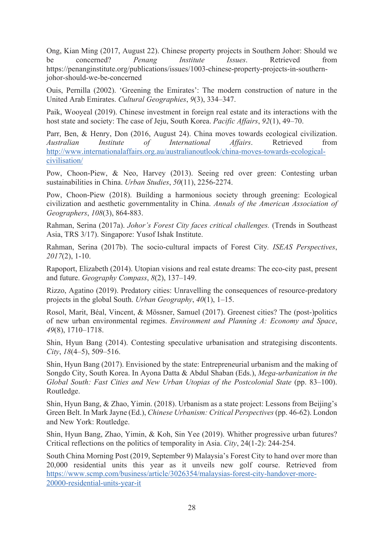Ong, Kian Ming (2017, August 22). Chinese property projects in Southern Johor: Should we be concerned? *Penang Institute Issues*. Retrieved from https://penanginstitute.org/publications/issues/1003-chinese-property-projects-in-southernjohor-should-we-be-concerned

Ouis, Pernilla (2002). 'Greening the Emirates': The modern construction of nature in the United Arab Emirates. Cultural Geographies, 9(3), 334–347.

Paik, Wooyeal (2019). Chinese investment in foreign real estate and its interactions with the host state and society: The case of Jeju, South Korea. *Pacific Affairs*, 92(1), 49–70.

Parr, Ben, & Henry, Don (2016, August 24). China moves towards ecological civilization. *Australian Institute of International Affairs.* Retrieved from http://www.internationalaffairs.org.au/australianoutlook/china-moves-towards-ecologicalcivilisation/

Pow, Choon-Piew, & Neo, Harvey (2013). Seeing red over green: Contesting urban sustainabilities in China. *Urban Studies*, 50(11), 2256-2274.

Pow, Choon-Piew (2018). Building a harmonious society through greening: Ecological civilization and aesthetic governmentality in China. Annals of the American Association of Geographers, 108(3), 864-883.

Rahman, Serina (2017a). *Johor's Forest City faces critical challenges*. (Trends in Southeast Asia, TRS 3/17). Singapore: Yusof Ishak Institute.

Rahman, Serina (2017b). The socio-cultural impacts of Forest City. ISEAS Perspectives, *2017*(2), 1-10.

Rapoport, Elizabeth (2014). Utopian visions and real estate dreams: The eco-city past, present and future. *Geography Compass*, 8(2), 137–149.

Rizzo, Agatino (2019). Predatory cities: Unravelling the consequences of resource-predatory projects in the global South. *Urban Geography*, 40(1), 1–15.

Rosol, Marit, Béal, Vincent, & Mössner, Samuel (2017). Greenest cities? The (post-)politics of new urban environmental regimes. *Environment and Planning A: Economy and Space*, 49(8), 1710–1718.

Shin, Hyun Bang (2014). Contesting speculative urbanisation and strategising discontents.  $City, 18(4-5), 509-516.$ 

Shin, Hyun Bang (2017). Envisioned by the state: Entrepreneurial urbanism and the making of Songdo City, South Korea. In Ayona Datta & Abdul Shaban (Eds.), *Mega-urbanization in the Global South: Fast Cities and New Urban Utopias of the Postcolonial State (pp. 83–100).* Routledge.

Shin, Hyun Bang, & Zhao, Yimin. (2018). Urbanism as a state project: Lessons from Beijing's Green Belt. In Mark Jayne (Ed.), Chinese Urbanism: Critical Perspectives (pp. 46-62). London and New York: Routledge.

Shin, Hyun Bang, Zhao, Yimin, & Koh, Sin Yee (2019). Whither progressive urban futures? Critical reflections on the politics of temporality in Asia. City, 24(1-2): 244-254.

South China Morning Post (2019, September 9) Malaysia's Forest City to hand over more than 20,000 residential units this year as it unveils new golf course. Retrieved from https://www.scmp.com/business/article/3026354/malaysias-forest-city-handover-more-20000-residential-units-year-it